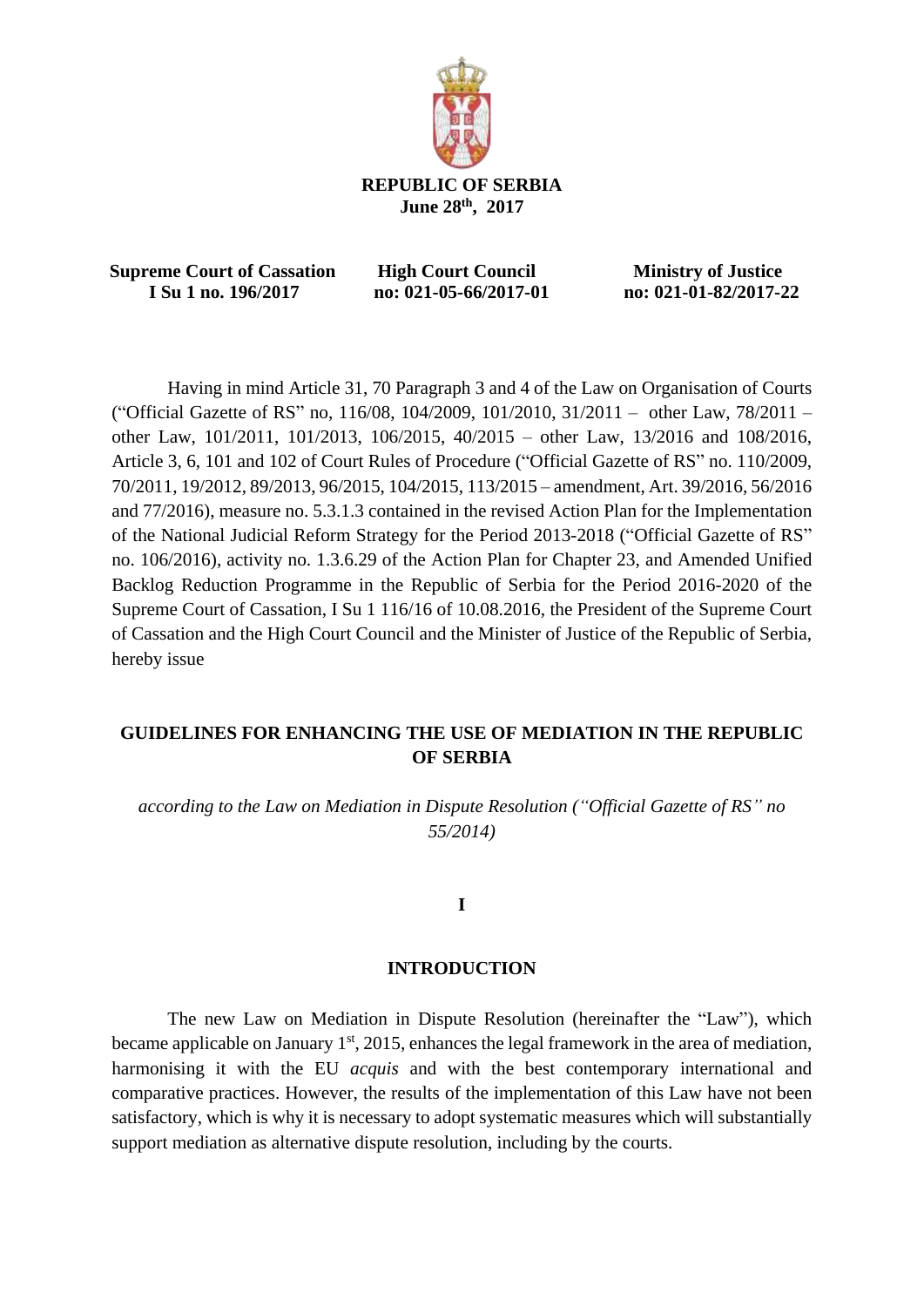

 **Supreme Court of Cassation High Court Council Ministry of Justice I Su 1 no. 196/2017 no: 021-05-66/2017-01 no: 021-01-82/2017-22**

Having in mind Article 31, 70 Paragraph 3 and 4 of the Law on Organisation of Courts ("Official Gazette of RS" no, 116/08, 104/2009, 101/2010, 31/2011 – other Law, 78/2011 – other Law, 101/2011, 101/2013, 106/2015, 40/2015 – other Law, 13/2016 and 108/2016, Article 3, 6, 101 and 102 of Court Rules of Procedure ("Official Gazette of RS" no. 110/2009, 70/2011, 19/2012, 89/2013, 96/2015, 104/2015, 113/2015 – amendment, Art. 39/2016, 56/2016 and 77/2016), measure no. 5.3.1.3 contained in the revised Action Plan for the Implementation of the National Judicial Reform Strategy for the Period 2013-2018 ("Official Gazette of RS" no. 106/2016), activity no. 1.3.6.29 of the Action Plan for Chapter 23, and Amended Unified Backlog Reduction Programme in the Republic of Serbia for the Period 2016-2020 of the Supreme Court of Cassation, I Su 1 116/16 of 10.08.2016, the President of the Supreme Court of Cassation and the High Court Council and the Minister of Justice of the Republic of Serbia, hereby issue

## **GUIDELINES FOR ENHANCING THE USE OF MEDIATION IN THE REPUBLIC OF SERBIA**

*according to the Law on Mediation in Dispute Resolution ("Official Gazette of RS" no 55/2014)*

#### **I**

#### **INTRODUCTION**

The new Law on Mediation in Dispute Resolution (hereinafter the "Law"), which became applicable on January  $1<sup>st</sup>$ , 2015, enhances the legal framework in the area of mediation, harmonising it with the EU *acquis* and with the best contemporary international and comparative practices. However, the results of the implementation of this Law have not been satisfactory, which is why it is necessary to adopt systematic measures which will substantially support mediation as alternative dispute resolution, including by the courts.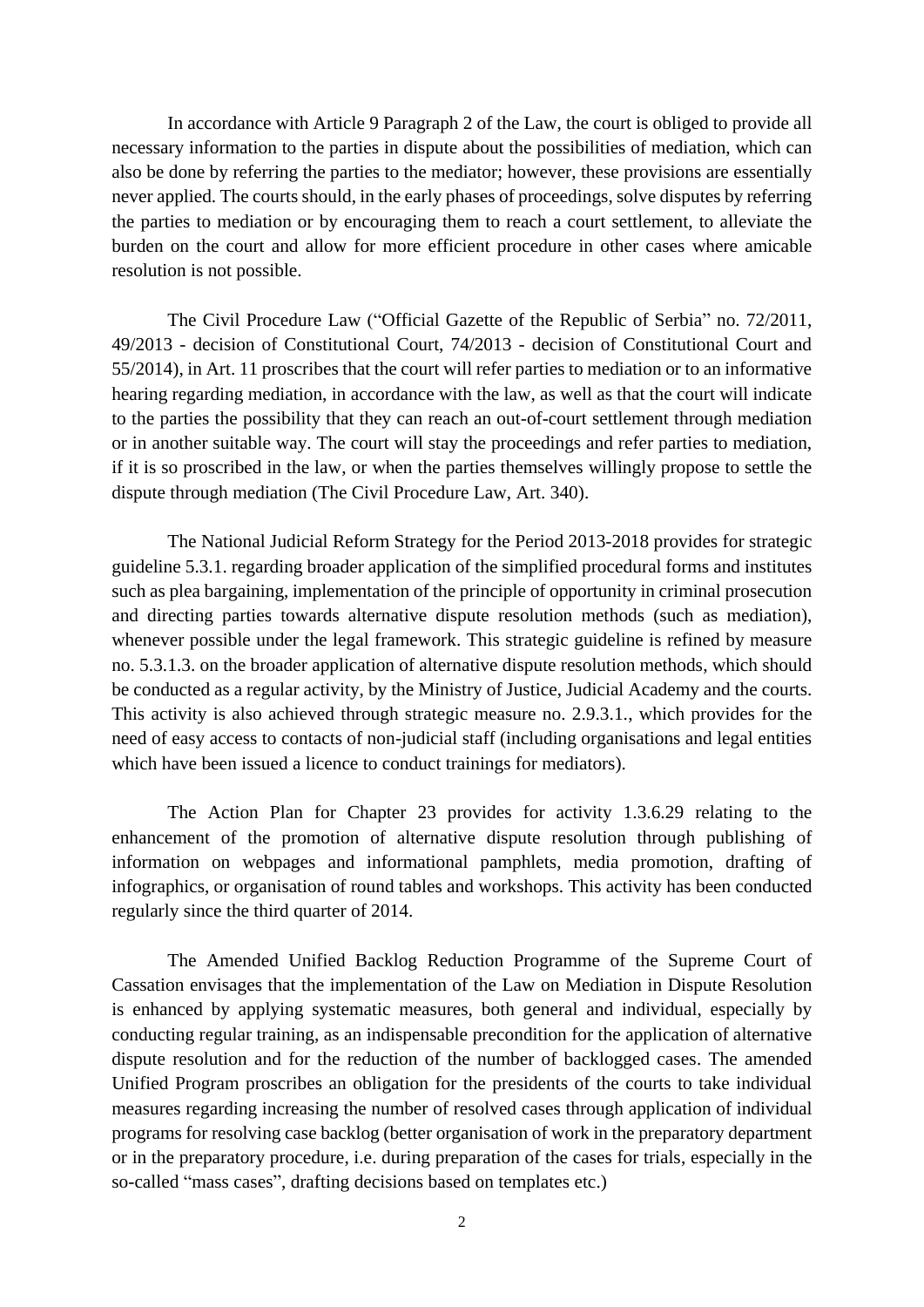In accordance with Article 9 Paragraph 2 of the Law, the court is obliged to provide all necessary information to the parties in dispute about the possibilities of mediation, which can also be done by referring the parties to the mediator; however, these provisions are essentially never applied. The courts should, in the early phases of proceedings, solve disputes by referring the parties to mediation or by encouraging them to reach a court settlement, to alleviate the burden on the court and allow for more efficient procedure in other cases where amicable resolution is not possible.

The Civil Procedure Law ("Official Gazette of the Republic of Serbia" no. 72/2011, 49/2013 - decision of Constitutional Court, 74/2013 - decision of Constitutional Court and 55/2014), in Art. 11 proscribes that the court will refer parties to mediation or to an informative hearing regarding mediation, in accordance with the law, as well as that the court will indicate to the parties the possibility that they can reach an out-of-court settlement through mediation or in another suitable way. The court will stay the proceedings and refer parties to mediation, if it is so proscribed in the law, or when the parties themselves willingly propose to settle the dispute through mediation (The Civil Procedure Law, Art. 340).

The National Judicial Reform Strategy for the Period 2013-2018 provides for strategic guideline 5.3.1. regarding broader application of the simplified procedural forms and institutes such as plea bargaining, implementation of the principle of opportunity in criminal prosecution and directing parties towards alternative dispute resolution methods (such as mediation), whenever possible under the legal framework. This strategic guideline is refined by measure no. 5.3.1.3. on the broader application of alternative dispute resolution methods, which should be conducted as a regular activity, by the Ministry of Justice, Judicial Academy and the courts. This activity is also achieved through strategic measure no. 2.9.3.1., which provides for the need of easy access to contacts of non-judicial staff (including organisations and legal entities which have been issued a licence to conduct trainings for mediators).

The Action Plan for Chapter 23 provides for activity 1.3.6.29 relating to the enhancement of the promotion of alternative dispute resolution through publishing of information on webpages and informational pamphlets, media promotion, drafting of infographics, or organisation of round tables and workshops. This activity has been conducted regularly since the third quarter of 2014.

The Amended Unified Backlog Reduction Programme of the Supreme Court of Cassation envisages that the implementation of the Law on Mediation in Dispute Resolution is enhanced by applying systematic measures, both general and individual, especially by conducting regular training, as an indispensable precondition for the application of alternative dispute resolution and for the reduction of the number of backlogged cases. The amended Unified Program proscribes an obligation for the presidents of the courts to take individual measures regarding increasing the number of resolved cases through application of individual programs for resolving case backlog (better organisation of work in the preparatory department or in the preparatory procedure, i.e. during preparation of the cases for trials, especially in the so-called "mass cases", drafting decisions based on templates etc.)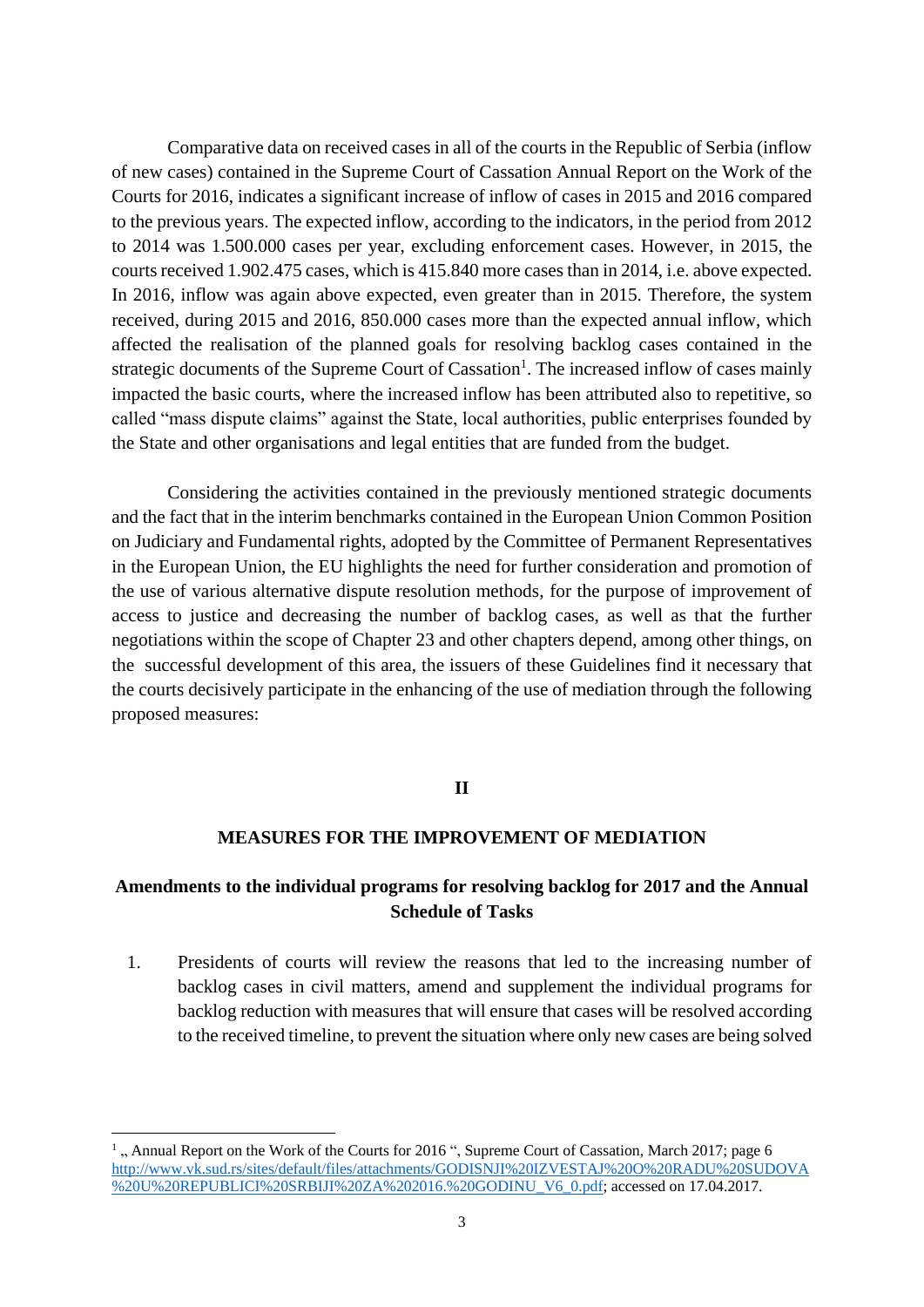Comparative data on received cases in all of the courts in the Republic of Serbia (inflow of new cases) contained in the Supreme Court of Cassation Annual Report on the Work of the Courts for 2016, indicates a significant increase of inflow of cases in 2015 and 2016 compared to the previous years. The expected inflow, according to the indicators, in the period from 2012 to 2014 was 1.500.000 cases per year, excluding enforcement cases. However, in 2015, the courts received 1.902.475 cases, which is 415.840 more cases than in 2014, i.e. above expected. In 2016, inflow was again above expected, even greater than in 2015. Therefore, the system received, during 2015 and 2016, 850.000 cases more than the expected annual inflow, which affected the realisation of the planned goals for resolving backlog cases contained in the strategic documents of the Supreme Court of Cassation<sup>1</sup>. The increased inflow of cases mainly impacted the basic courts, where the increased inflow has been attributed also to repetitive, so called "mass dispute claims" against the State, local authorities, public enterprises founded by the State and other organisations and legal entities that are funded from the budget.

Considering the activities contained in the previously mentioned strategic documents and the fact that in the interim benchmarks contained in the European Union Common Position on Judiciary and Fundamental rights, adopted by the Committee of Permanent Representatives in the European Union, the EU highlights the need for further consideration and promotion of the use of various alternative dispute resolution methods, for the purpose of improvement of access to justice and decreasing the number of backlog cases, as well as that the further negotiations within the scope of Chapter 23 and other chapters depend, among other things, on the successful development of this area, the issuers of these Guidelines find it necessary that the courts decisively participate in the enhancing of the use of mediation through the following proposed measures:

#### **II**

## **MEASURES FOR THE IMPROVEMENT OF MEDIATION**

## **Amendments to the individual programs for resolving backlog for 2017 and the Annual Schedule of Tasks**

1. Presidents of courts will review the reasons that led to the increasing number of backlog cases in civil matters, amend and supplement the individual programs for backlog reduction with measures that will ensure that cases will be resolved according to the received timeline, to prevent the situation where only new cases are being solved

**.** 

<sup>&</sup>lt;sup>1</sup>, Annual Report on the Work of the Courts for 2016 ", Supreme Court of Cassation, March 2017; page 6 [http://www.vk.sud.rs/sites/default/files/attachments/GODISNJI%20IZVESTAJ%20O%20RADU%20SUDOVA](http://www.vk.sud.rs/sites/default/files/attachments/GODISNJI%20IZVESTAJ%20O%20RADU%20SUDOVA%20U%20REPUBLICI%20SRBIJI%20ZA%202016.%20GODINU_V6_0.pdf) [%20U%20REPUBLICI%20SRBIJI%20ZA%202016.%20GODINU\\_V6\\_0.pdf;](http://www.vk.sud.rs/sites/default/files/attachments/GODISNJI%20IZVESTAJ%20O%20RADU%20SUDOVA%20U%20REPUBLICI%20SRBIJI%20ZA%202016.%20GODINU_V6_0.pdf) accessed on 17.04.2017.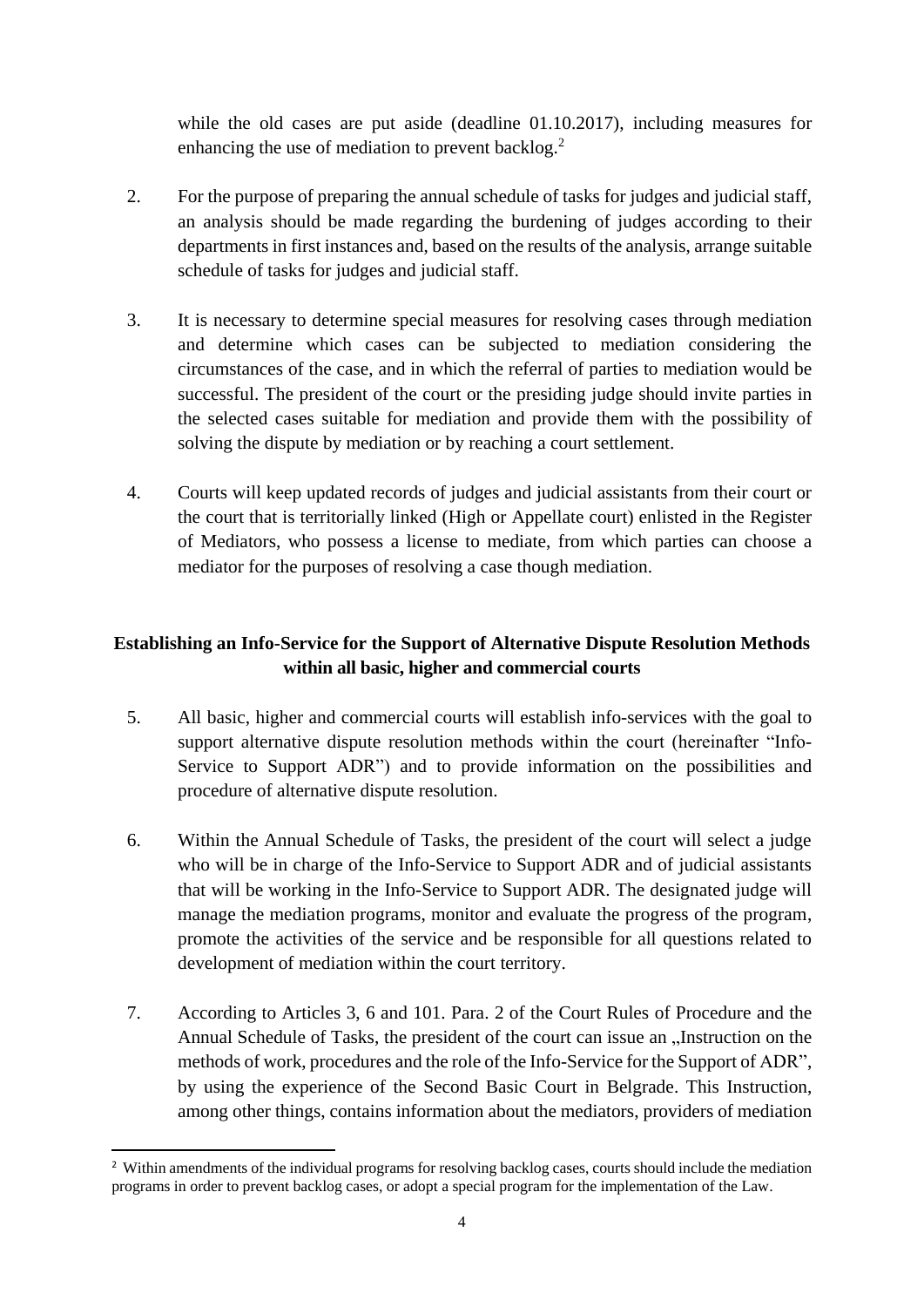while the old cases are put aside (deadline 01.10.2017), including measures for enhancing the use of mediation to prevent backlog.<sup>2</sup>

- 2. For the purpose of preparing the annual schedule of tasks for judges and judicial staff, an analysis should be made regarding the burdening of judges according to their departments in first instances and, based on the results of the analysis, arrange suitable schedule of tasks for judges and judicial staff.
- 3. It is necessary to determine special measures for resolving cases through mediation and determine which cases can be subjected to mediation considering the circumstances of the case, and in which the referral of parties to mediation would be successful. The president of the court or the presiding judge should invite parties in the selected cases suitable for mediation and provide them with the possibility of solving the dispute by mediation or by reaching a court settlement.
- 4. Courts will keep updated records of judges and judicial assistants from their court or the court that is territorially linked (High or Appellate court) enlisted in the Register of Mediators, who possess a license to mediate, from which parties can choose a mediator for the purposes of resolving a case though mediation.

# **Establishing an Info-Service for the Support of Alternative Dispute Resolution Methods within all basic, higher and commercial courts**

- 5. All basic, higher and commercial courts will establish info-services with the goal to support alternative dispute resolution methods within the court (hereinafter "Info-Service to Support ADR") and to provide information on the possibilities and procedure of alternative dispute resolution.
- 6. Within the Annual Schedule of Tasks, the president of the court will select a judge who will be in charge of the Info-Service to Support ADR and of judicial assistants that will be working in the Info-Service to Support ADR. The designated judge will manage the mediation programs, monitor and evaluate the progress of the program, promote the activities of the service and be responsible for all questions related to development of mediation within the court territory.
- 7. According to Articles 3, 6 and 101. Para. 2 of the Court Rules of Procedure and the Annual Schedule of Tasks, the president of the court can issue an  $\mu$ Instruction on the methods of work, procedures and the role of the Info-Service for the Support of ADR", by using the experience of the Second Basic Court in Belgrade. This Instruction, among other things, contains information about the mediators, providers of mediation

<sup>1</sup> <sup>2</sup> Within amendments of the individual programs for resolving backlog cases, courts should include the mediation programs in order to prevent backlog cases, or adopt a special program for the implementation of the Law.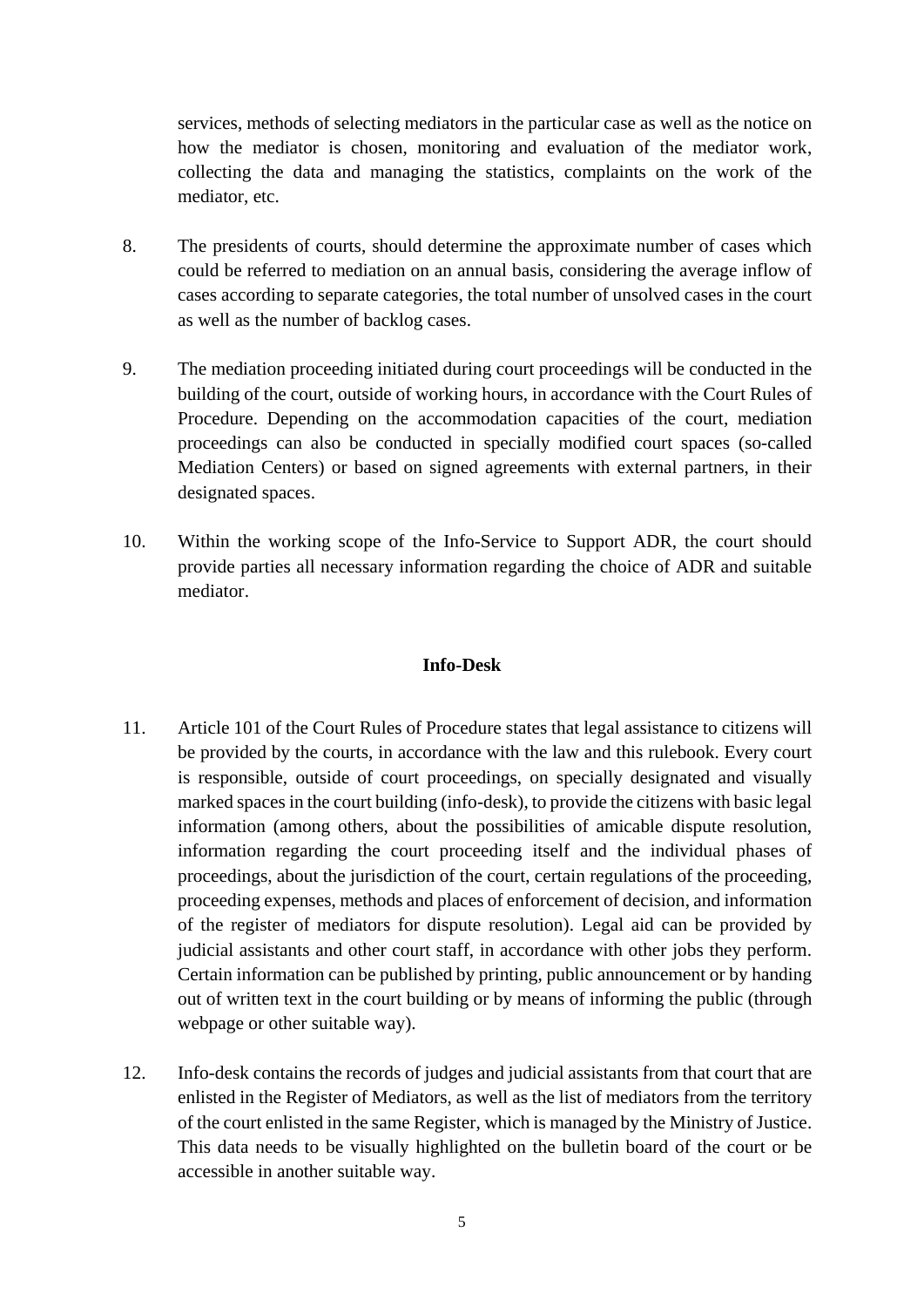services, methods of selecting mediators in the particular case as well as the notice on how the mediator is chosen, monitoring and evaluation of the mediator work, collecting the data and managing the statistics, complaints on the work of the mediator, etc.

- 8. The presidents of courts, should determine the approximate number of cases which could be referred to mediation on an annual basis, considering the average inflow of cases according to separate categories, the total number of unsolved cases in the court as well as the number of backlog cases.
- 9. The mediation proceeding initiated during court proceedings will be conducted in the building of the court, outside of working hours, in accordance with the Court Rules of Procedure. Depending on the accommodation capacities of the court, mediation proceedings can also be conducted in specially modified court spaces (so-called Mediation Centers) or based on signed agreements with external partners, in their designated spaces.
- 10. Within the working scope of the Info-Service to Support ADR, the court should provide parties all necessary information regarding the choice of ADR and suitable mediator.

#### **Info-Desk**

- 11. Article 101 of the Court Rules of Procedure states that legal assistance to citizens will be provided by the courts, in accordance with the law and this rulebook. Every court is responsible, outside of court proceedings, on specially designated and visually marked spaces in the court building (info-desk), to provide the citizens with basic legal information (among others, about the possibilities of amicable dispute resolution, information regarding the court proceeding itself and the individual phases of proceedings, about the jurisdiction of the court, certain regulations of the proceeding, proceeding expenses, methods and places of enforcement of decision, and information of the register of mediators for dispute resolution). Legal aid can be provided by judicial assistants and other court staff, in accordance with other jobs they perform. Certain information can be published by printing, public announcement or by handing out of written text in the court building or by means of informing the public (through webpage or other suitable way).
- 12. Info-desk contains the records of judges and judicial assistants from that court that are enlisted in the Register of Mediators, as well as the list of mediators from the territory of the court enlisted in the same Register, which is managed by the Ministry of Justice. This data needs to be visually highlighted on the bulletin board of the court or be accessible in another suitable way.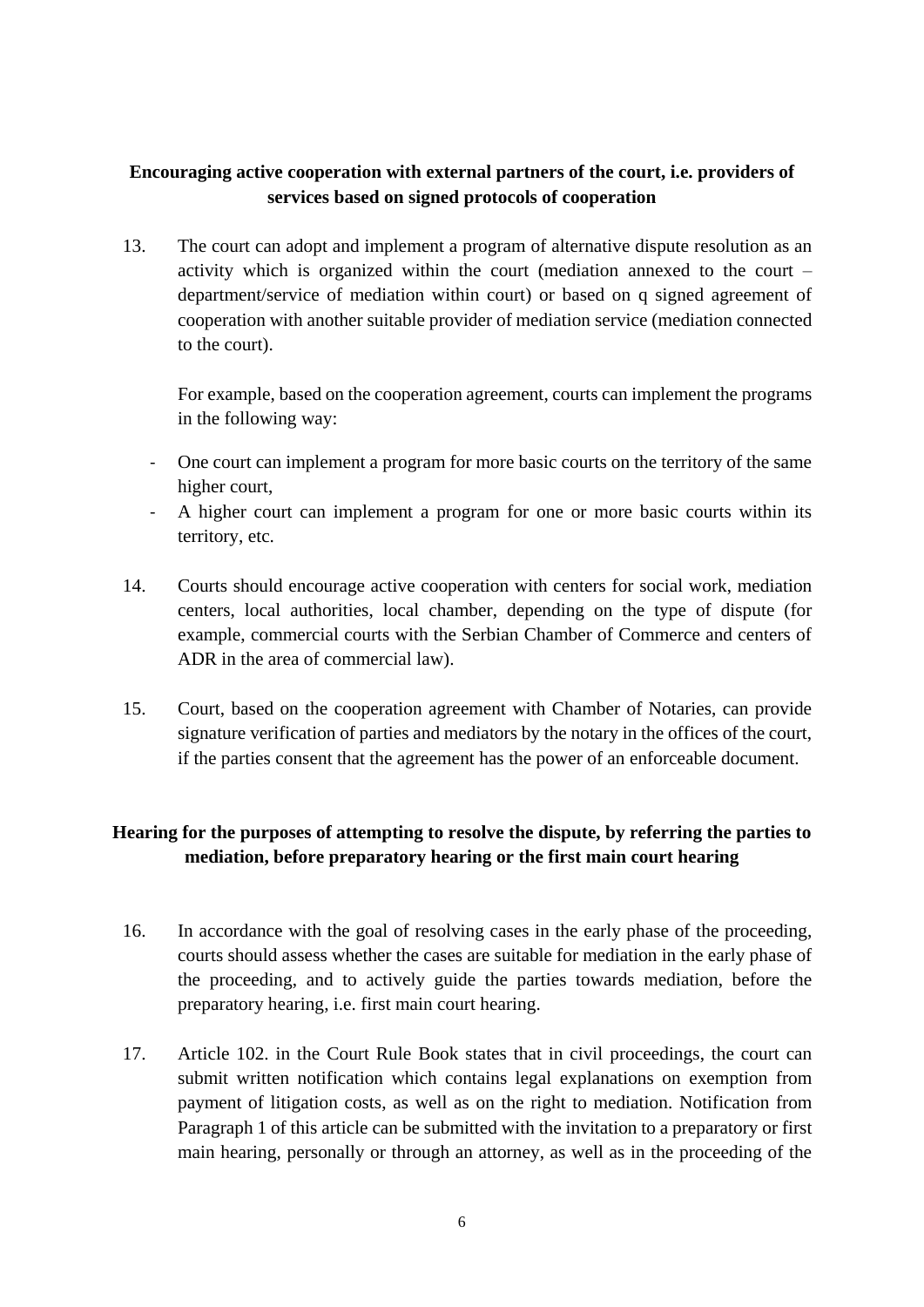## **Encouraging active cooperation with external partners of the court, i.e. providers of services based on signed protocols of cooperation**

13. The court can adopt and implement a program of alternative dispute resolution as an activity which is organized within the court (mediation annexed to the court – department/service of mediation within court) or based on q signed agreement of cooperation with another suitable provider of mediation service (mediation connected to the court).

For example, based on the cooperation agreement, courts can implement the programs in the following way:

- One court can implement a program for more basic courts on the territory of the same higher court,
- A higher court can implement a program for one or more basic courts within its territory, etc.
- 14. Courts should encourage active cooperation with centers for social work, mediation centers, local authorities, local chamber, depending on the type of dispute (for example, commercial courts with the Serbian Chamber of Commerce and centers of ADR in the area of commercial law).
- 15. Court, based on the cooperation agreement with Chamber of Notaries, can provide signature verification of parties and mediators by the notary in the offices of the court, if the parties consent that the agreement has the power of an enforceable document.

# **Hearing for the purposes of attempting to resolve the dispute, by referring the parties to mediation, before preparatory hearing or the first main court hearing**

- 16. In accordance with the goal of resolving cases in the early phase of the proceeding, courts should assess whether the cases are suitable for mediation in the early phase of the proceeding, and to actively guide the parties towards mediation, before the preparatory hearing, i.e. first main court hearing.
- 17. Article 102. in the Court Rule Book states that in civil proceedings, the court can submit written notification which contains legal explanations on exemption from payment of litigation costs, as well as on the right to mediation. Notification from Paragraph 1 of this article can be submitted with the invitation to a preparatory or first main hearing, personally or through an attorney, as well as in the proceeding of the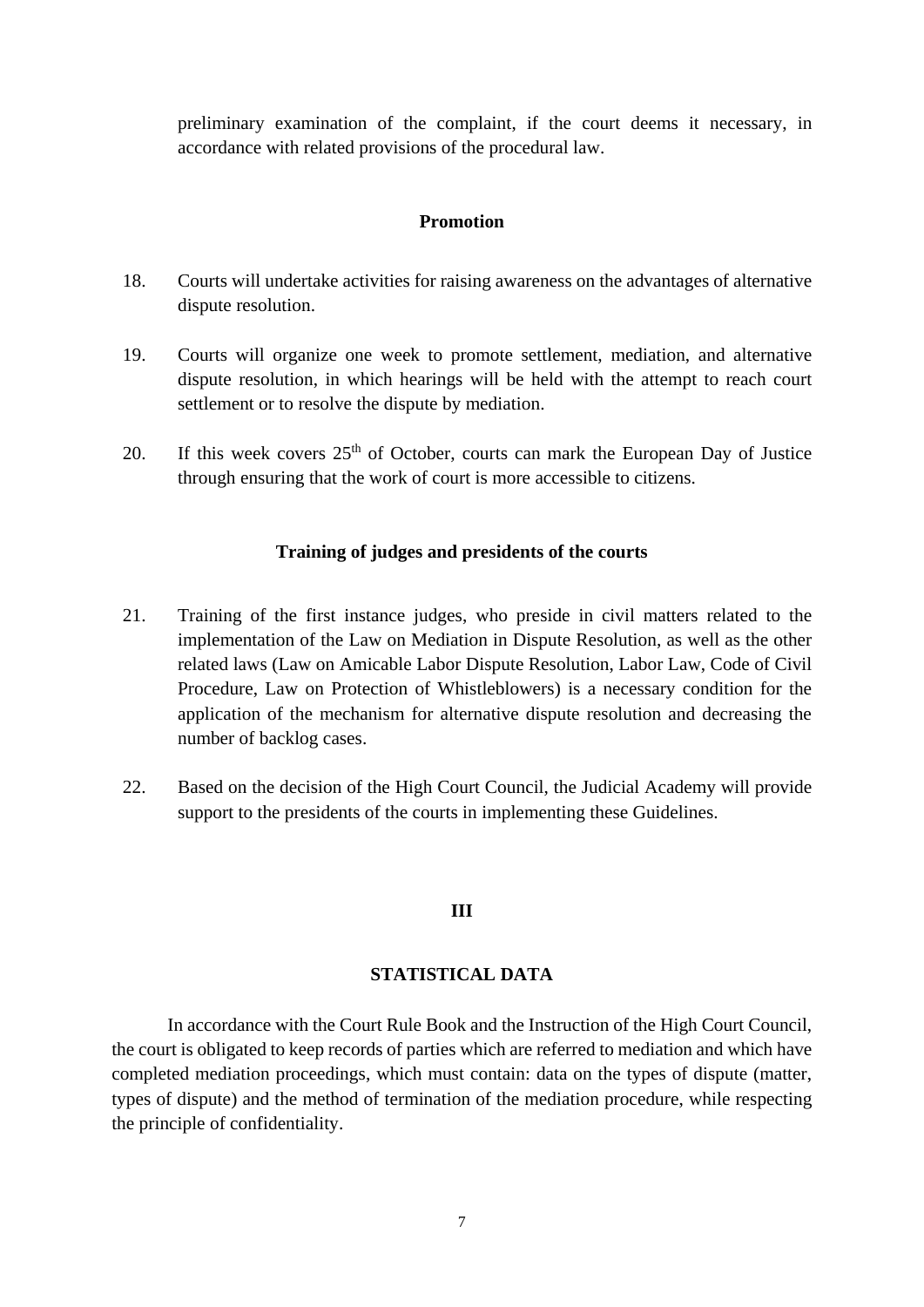preliminary examination of the complaint, if the court deems it necessary, in accordance with related provisions of the procedural law.

#### **Promotion**

- 18. Courts will undertake activities for raising awareness on the advantages of alternative dispute resolution.
- 19. Courts will organize one week to promote settlement, mediation, and alternative dispute resolution, in which hearings will be held with the attempt to reach court settlement or to resolve the dispute by mediation.
- 20. If this week covers  $25<sup>th</sup>$  of October, courts can mark the European Day of Justice through ensuring that the work of court is more accessible to citizens.

#### **Training of judges and presidents of the courts**

- 21. Training of the first instance judges, who preside in civil matters related to the implementation of the Law on Mediation in Dispute Resolution, as well as the other related laws (Law on Amicable Labor Dispute Resolution, Labor Law, Code of Civil Procedure, Law on Protection of Whistleblowers) is a necessary condition for the application of the mechanism for alternative dispute resolution and decreasing the number of backlog cases.
- 22. Based on the decision of the High Court Council, the Judicial Academy will provide support to the presidents of the courts in implementing these Guidelines.

## **III**

#### **STATISTICAL DATA**

In accordance with the Court Rule Book and the Instruction of the High Court Council, the court is obligated to keep records of parties which are referred to mediation and which have completed mediation proceedings, which must contain: data on the types of dispute (matter, types of dispute) and the method of termination of the mediation procedure, while respecting the principle of confidentiality.